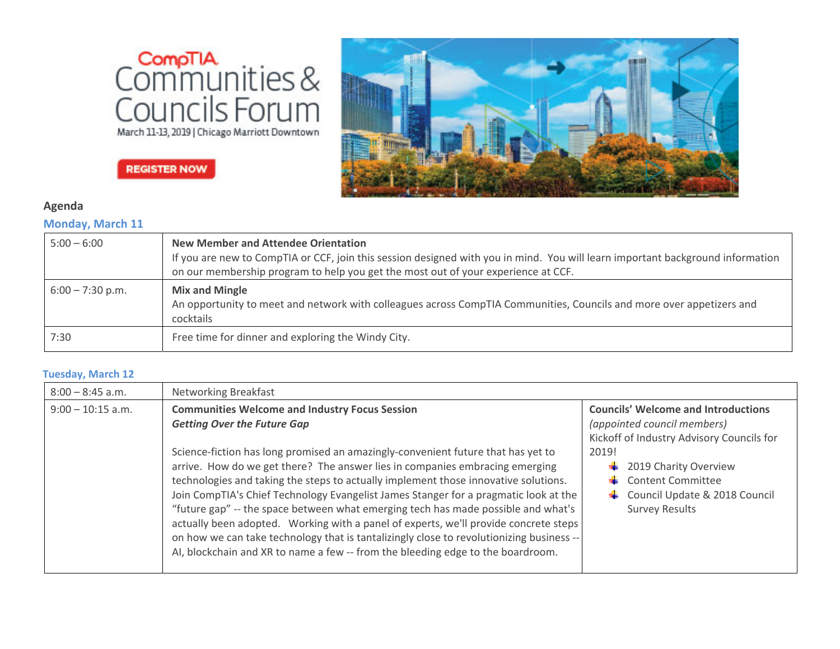



# **REGISTER NOW**

## **Agenda**

### **Monday, March 11**

| $5:00 - 6:00$      | <b>New Member and Attendee Orientation</b><br>If you are new to CompTIA or CCF, join this session designed with you in mind. You will learn important background information<br>on our membership program to help you get the most out of your experience at CCF. |
|--------------------|-------------------------------------------------------------------------------------------------------------------------------------------------------------------------------------------------------------------------------------------------------------------|
| $6:00 - 7:30$ p.m. | <b>Mix and Mingle</b><br>An opportunity to meet and network with colleagues across CompTIA Communities, Councils and more over appetizers and<br>cocktails                                                                                                        |
| 7:30               | Free time for dinner and exploring the Windy City.                                                                                                                                                                                                                |

#### **Tuesday, March 12**

| $8:00 - 8:45$ a.m.  | <b>Networking Breakfast</b>                                                                                                                                                                                                                                                                                                                                                                                                                                                                                                                                                                                                                                                                                                                                                                                |                                                                                                                                                                                                                                                      |
|---------------------|------------------------------------------------------------------------------------------------------------------------------------------------------------------------------------------------------------------------------------------------------------------------------------------------------------------------------------------------------------------------------------------------------------------------------------------------------------------------------------------------------------------------------------------------------------------------------------------------------------------------------------------------------------------------------------------------------------------------------------------------------------------------------------------------------------|------------------------------------------------------------------------------------------------------------------------------------------------------------------------------------------------------------------------------------------------------|
| $9:00 - 10:15$ a.m. | <b>Communities Welcome and Industry Focus Session</b><br><b>Getting Over the Future Gap</b><br>Science-fiction has long promised an amazingly-convenient future that has yet to<br>arrive. How do we get there? The answer lies in companies embracing emerging<br>technologies and taking the steps to actually implement those innovative solutions.<br>Join CompTIA's Chief Technology Evangelist James Stanger for a pragmatic look at the<br>"future gap" -- the space between what emerging tech has made possible and what's<br>actually been adopted. Working with a panel of experts, we'll provide concrete steps<br>on how we can take technology that is tantalizingly close to revolutionizing business --<br>AI, blockchain and XR to name a few -- from the bleeding edge to the boardroom. | <b>Councils' Welcome and Introductions</b><br>(appointed council members)<br>Kickoff of Industry Advisory Councils for<br>2019!<br>2019 Charity Overview<br><b>Content Committee</b><br>Council Update & 2018 Council<br>۰.<br><b>Survey Results</b> |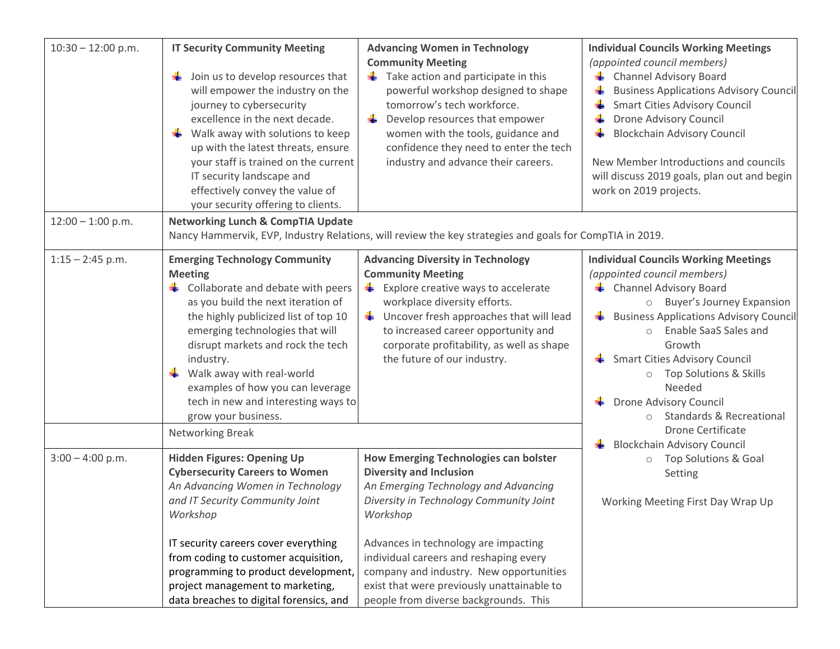| $10:30 - 12:00$ p.m. | <b>IT Security Community Meeting</b><br>Join us to develop resources that<br>۰.<br>will empower the industry on the<br>journey to cybersecurity<br>excellence in the next decade.<br>÷<br>Walk away with solutions to keep<br>up with the latest threats, ensure<br>your staff is trained on the current<br>IT security landscape and<br>effectively convey the value of<br>your security offering to clients.                 | <b>Advancing Women in Technology</b><br><b>Community Meeting</b><br>$\frac{1}{2}$ Take action and participate in this<br>powerful workshop designed to shape<br>tomorrow's tech workforce.<br>÷<br>Develop resources that empower<br>women with the tools, guidance and<br>confidence they need to enter the tech<br>industry and advance their careers.                                   | <b>Individual Councils Working Meetings</b><br>(appointed council members)<br>← Channel Advisory Board<br><b>Business Applications Advisory Council</b><br><b>Smart Cities Advisory Council</b><br>Drone Advisory Council<br><b>Blockchain Advisory Council</b><br>New Member Introductions and councils<br>will discuss 2019 goals, plan out and begin<br>work on 2019 projects.                                                                                                                                                                    |
|----------------------|--------------------------------------------------------------------------------------------------------------------------------------------------------------------------------------------------------------------------------------------------------------------------------------------------------------------------------------------------------------------------------------------------------------------------------|--------------------------------------------------------------------------------------------------------------------------------------------------------------------------------------------------------------------------------------------------------------------------------------------------------------------------------------------------------------------------------------------|------------------------------------------------------------------------------------------------------------------------------------------------------------------------------------------------------------------------------------------------------------------------------------------------------------------------------------------------------------------------------------------------------------------------------------------------------------------------------------------------------------------------------------------------------|
| $12:00 - 1:00$ p.m.  | <b>Networking Lunch &amp; CompTIA Update</b><br>Nancy Hammervik, EVP, Industry Relations, will review the key strategies and goals for CompTIA in 2019.                                                                                                                                                                                                                                                                        |                                                                                                                                                                                                                                                                                                                                                                                            |                                                                                                                                                                                                                                                                                                                                                                                                                                                                                                                                                      |
| $1:15 - 2:45$ p.m.   | <b>Emerging Technology Community</b><br><b>Meeting</b><br>$\triangleq$ Collaborate and debate with peers<br>as you build the next iteration of<br>the highly publicized list of top 10<br>emerging technologies that will<br>disrupt markets and rock the tech<br>industry.<br>Walk away with real-world<br>examples of how you can leverage<br>tech in new and interesting ways to<br>grow your business.<br>Networking Break | <b>Advancing Diversity in Technology</b><br><b>Community Meeting</b><br>$\frac{1}{2}$ Explore creative ways to accelerate<br>workplace diversity efforts.<br>$\frac{1}{2}$ Uncover fresh approaches that will lead<br>to increased career opportunity and<br>corporate profitability, as well as shape<br>the future of our industry.                                                      | <b>Individual Councils Working Meetings</b><br>(appointed council members)<br><b>E</b> Channel Advisory Board<br><b>Buyer's Journey Expansion</b><br>$\circ$<br><b>E</b> Business Applications Advisory Council<br>o Enable SaaS Sales and<br>Growth<br>Smart Cities Advisory Council<br>O Top Solutions & Skills<br>Needed<br>Drone Advisory Council<br>۰.<br><b>Standards &amp; Recreational</b><br><b>Drone Certificate</b><br><b>Blockchain Advisory Council</b><br>۰.<br>o Top Solutions & Goal<br>Setting<br>Working Meeting First Day Wrap Up |
| $3:00 - 4:00$ p.m.   | <b>Hidden Figures: Opening Up</b><br><b>Cybersecurity Careers to Women</b><br>An Advancing Women in Technology<br>and IT Security Community Joint<br>Workshop<br>IT security careers cover everything<br>from coding to customer acquisition,<br>programming to product development,<br>project management to marketing,<br>data breaches to digital forensics, and                                                            | How Emerging Technologies can bolster<br><b>Diversity and Inclusion</b><br>An Emerging Technology and Advancing<br>Diversity in Technology Community Joint<br>Workshop<br>Advances in technology are impacting<br>individual careers and reshaping every<br>company and industry. New opportunities<br>exist that were previously unattainable to<br>people from diverse backgrounds. This |                                                                                                                                                                                                                                                                                                                                                                                                                                                                                                                                                      |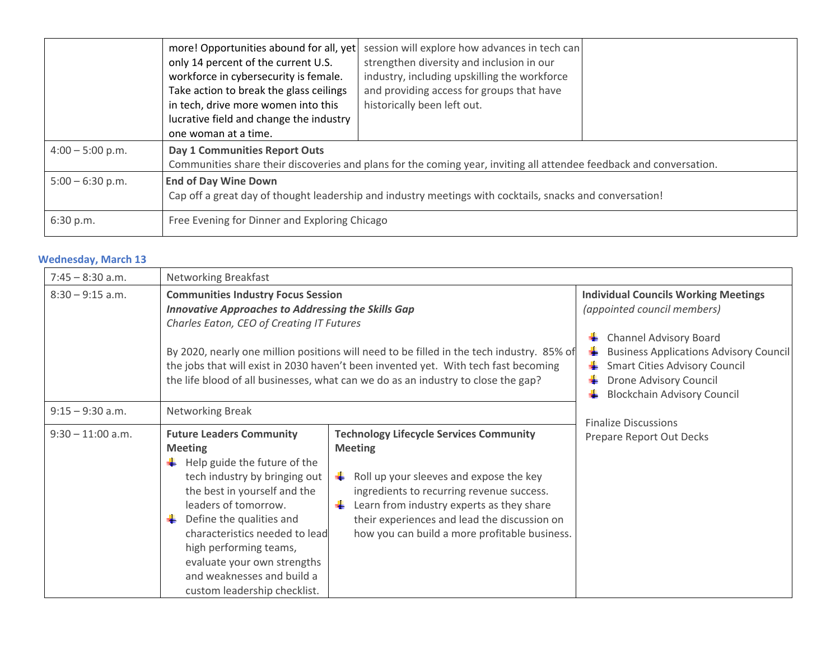|                    | more! Opportunities abound for all, yet<br>only 14 percent of the current U.S.<br>workforce in cybersecurity is female.<br>Take action to break the glass ceilings<br>in tech, drive more women into this<br>lucrative field and change the industry<br>one woman at a time. | session will explore how advances in tech can<br>strengthen diversity and inclusion in our<br>industry, including upskilling the workforce<br>and providing access for groups that have<br>historically been left out. |  |
|--------------------|------------------------------------------------------------------------------------------------------------------------------------------------------------------------------------------------------------------------------------------------------------------------------|------------------------------------------------------------------------------------------------------------------------------------------------------------------------------------------------------------------------|--|
| $4:00 - 5:00$ p.m. | Day 1 Communities Report Outs<br>Communities share their discoveries and plans for the coming year, inviting all attendee feedback and conversation.                                                                                                                         |                                                                                                                                                                                                                        |  |
| $5:00 - 6:30$ p.m. | <b>End of Day Wine Down</b><br>Cap off a great day of thought leadership and industry meetings with cocktails, snacks and conversation!                                                                                                                                      |                                                                                                                                                                                                                        |  |
| 6:30 p.m.          | Free Evening for Dinner and Exploring Chicago                                                                                                                                                                                                                                |                                                                                                                                                                                                                        |  |

### **Wednesday, March 13**

| $7:45 - 8:30$ a.m.  | Networking Breakfast                                                                                                                                                                                                                                                                                                                                                                                                         |                                                                                                                                                                                                                                                                                                        |                                                                                                                                                                                                                                      |
|---------------------|------------------------------------------------------------------------------------------------------------------------------------------------------------------------------------------------------------------------------------------------------------------------------------------------------------------------------------------------------------------------------------------------------------------------------|--------------------------------------------------------------------------------------------------------------------------------------------------------------------------------------------------------------------------------------------------------------------------------------------------------|--------------------------------------------------------------------------------------------------------------------------------------------------------------------------------------------------------------------------------------|
| $8:30 - 9:15$ a.m.  | <b>Communities Industry Focus Session</b><br><b>Innovative Approaches to Addressing the Skills Gap</b><br>Charles Eaton, CEO of Creating IT Futures<br>By 2020, nearly one million positions will need to be filled in the tech industry. 85% of<br>the jobs that will exist in 2030 haven't been invented yet. With tech fast becoming<br>the life blood of all businesses, what can we do as an industry to close the gap? |                                                                                                                                                                                                                                                                                                        | <b>Individual Councils Working Meetings</b><br>(appointed council members)<br><b>Channel Advisory Board</b><br>۰.<br><b>Business Applications Advisory Council</b><br><b>Smart Cities Advisory Council</b><br>Drone Advisory Council |
| $9:15 - 9:30$ a.m.  | Networking Break                                                                                                                                                                                                                                                                                                                                                                                                             |                                                                                                                                                                                                                                                                                                        | <b>Blockchain Advisory Council</b>                                                                                                                                                                                                   |
| $9:30 - 11:00$ a.m. | <b>Future Leaders Community</b><br><b>Meeting</b><br>$\pm$ Help guide the future of the<br>tech industry by bringing out<br>the best in yourself and the<br>leaders of tomorrow.<br>Define the qualities and<br>characteristics needed to lead<br>high performing teams,<br>evaluate your own strengths<br>and weaknesses and build a<br>custom leadership checklist.                                                        | <b>Technology Lifecycle Services Community</b><br><b>Meeting</b><br>Roll up your sleeves and expose the key<br>ingredients to recurring revenue success.<br>Learn from industry experts as they share<br>their experiences and lead the discussion on<br>how you can build a more profitable business. | <b>Finalize Discussions</b><br>Prepare Report Out Decks                                                                                                                                                                              |